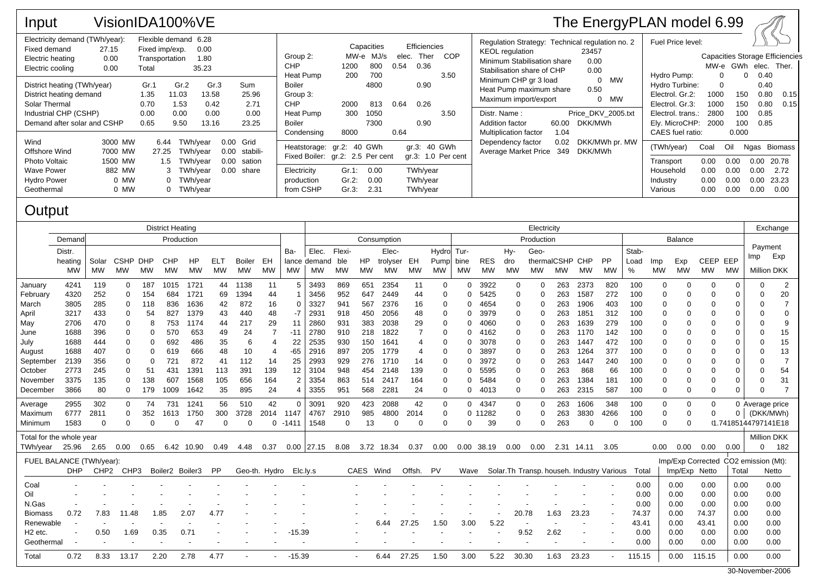| Input                                                                                                                           |                                                 |                                           | VisionIDA100%VE                                              |                                        |                                          |                                                                                                          |                           |                                       |               |                                      |                    |                                                                                                                                        |                     | The EnergyPLAN model 6.99                             |                                                                                                  |                              |                                      |                                      |                                        |
|---------------------------------------------------------------------------------------------------------------------------------|-------------------------------------------------|-------------------------------------------|--------------------------------------------------------------|----------------------------------------|------------------------------------------|----------------------------------------------------------------------------------------------------------|---------------------------|---------------------------------------|---------------|--------------------------------------|--------------------|----------------------------------------------------------------------------------------------------------------------------------------|---------------------|-------------------------------------------------------|--------------------------------------------------------------------------------------------------|------------------------------|--------------------------------------|--------------------------------------|----------------------------------------|
| Electricity demand (TWh/year):<br>Fixed demand<br>27.15<br>Electric heating<br>Electric cooling                                 | 0.00<br>0.00                                    | Fixed imp/exp.<br>Transportation<br>Total | Flexible demand 6.28<br>0.00<br>1.80<br>35.23                |                                        |                                          | Group 2:<br><b>CHP</b><br>Heat Pump                                                                      | 1200<br>200               | Capacities<br>MW-e MJ/s<br>800<br>700 | elec.<br>0.54 | Efficiencies<br>Ther<br>0.36         | COP<br>3.50        | Regulation Strategy: Technical regulation no. 2<br><b>KEOL</b> regulation<br>Minimum Stabilisation share<br>Stabilisation share of CHP |                     | 23457<br>0.00<br>0.00                                 | Fuel Price level:<br>Hydro Pump:                                                                 | $\Omega$                     | MW-e GWh elec. Ther.<br>$\Omega$     | 0.40                                 | <b>Capacities Storage Efficiencies</b> |
| District heating (TWh/year)<br>District heating demand<br>Solar Thermal<br>Industrial CHP (CSHP)<br>Demand after solar and CSHP |                                                 | Gr.1<br>1.35<br>0.70<br>0.00<br>0.65      | Gr.2<br>11.03<br>1.53<br>0.00<br>9.50                        | Gr.3<br>13.58<br>0.42<br>0.00<br>13.16 | Sum<br>25.96<br>2.71<br>0.00<br>23.25    | Boiler<br>Group 3:<br><b>CHP</b><br>Heat Pump<br>Boiler                                                  | 2000<br>300               | 4800<br>813<br>1050<br>7300           | 0.64          | 0.90<br>0.26<br>0.90                 | 3.50               | Minimum CHP gr 3 load<br>Heat Pump maximum share<br>Maximum import/export<br>Distr. Name:<br>Addition factor                           | 60.00               | 0 MW<br>0.50<br>0 MW<br>Price DKV 2005.txt<br>DKK/MWh | Hydro Turbine:<br>Electrol. Gr.2:<br>Electrol. Gr.3:<br>Electrol. trans.:<br>Ely. MicroCHP: 2000 | 1000<br>1000<br>2800         | 150<br>150<br>100<br>100             | 0.40<br>0.80<br>0.80<br>0.85<br>0.85 | 0.15<br>0.15                           |
| Wind<br>Offshore Wind<br>Photo Voltaic<br>Wave Power<br><b>Hydro Power</b>                                                      | 3000 MW<br>7000 MW<br>1500 MW<br>882 MW<br>0 MW | 6.44<br>27.25<br>1.5                      | TWh/vear<br>TWh/year<br>TWh/year<br>3 TWh/year<br>0 TWh/year | 0.00<br>0.00<br>0.00                   | Grid<br>stabili-<br>sation<br>0.00 share | Condensing<br>Heatstorage: gr.2: 40 GWh<br>Fixed Boiler: gr.2: 2.5 Per cent<br>Electricity<br>production | 8000<br>$Gr.1$ :<br>Gr.2: | 0.00<br>0.00                          | 0.64          | gr.3: 40 GWh<br>TWh/year<br>TWh/year | gr.3: 1.0 Per cent | <b>Multiplication factor</b><br>Dependency factor<br>Average Market Price                                                              | 1.04<br>0.02<br>349 | DKK/MWh pr. MW<br>DKK/MWh                             | CAES fuel ratio:<br>(TWh/year)<br>Transport<br>Household<br>Industry                             | Coal<br>0.00<br>0.00<br>0.00 | 0.000<br>Oil<br>0.00<br>0.00<br>0.00 | 0.00<br>0.00<br>0.00                 | Ngas Biomass<br>20.78<br>2.72<br>23.23 |
| Geothermal                                                                                                                      | 0 MW                                            |                                           | 0 TWh/year                                                   |                                        |                                          | from CSHP                                                                                                | Gr.3:                     | 2.31                                  |               | TWh/year                             |                    |                                                                                                                                        |                     |                                                       | Various                                                                                          | 0.00                         | 0.00                                 | 0.00                                 | 0.00                                   |

## **Output**

|                          | <b>District Heating</b> |                  |             |            |                 |            |           |           |               |                | Electricity  |           |           |            |           |           |            |            |              |      | Exchange        |                                            |                |                |           |               |                                      |           |                     |                |
|--------------------------|-------------------------|------------------|-------------|------------|-----------------|------------|-----------|-----------|---------------|----------------|--------------|-----------|-----------|------------|-----------|-----------|------------|------------|--------------|------|-----------------|--------------------------------------------|----------------|----------------|-----------|---------------|--------------------------------------|-----------|---------------------|----------------|
|                          | Demand                  | Production       |             |            |                 |            |           |           |               | Consumption    |              |           |           |            |           |           | Production |            |              |      |                 |                                            |                | <b>Balance</b> |           |               |                                      |           |                     |                |
|                          | Distr.                  |                  |             |            |                 |            |           | Ba-       | Elec.         | Flexi-         |              | Elec-     |           | Hydro Tur- |           |           | Hy-        | Geo-       |              |      |                 | Stab-                                      |                |                |           |               | Payment                              |           |                     |                |
|                          | heating                 | Solar            | <b>CSHP</b> | <b>DHP</b> | <b>CHP</b>      | HP         | ELT       | Boiler    | EH            | lance          | demand       | ble       | <b>HP</b> | trolyser   | EH        | Pump      | bine       | <b>RES</b> | dro          |      | thermalCSHP CHP |                                            | <b>PP</b>      | Load           | Imp       | Exp           | CEEP EEP                             |           | Imp                 | Exp            |
|                          | <b>MW</b>               | MW               | <b>MW</b>   | <b>MW</b>  | MW              | <b>MW</b>  | <b>MW</b> | <b>MW</b> | <b>MW</b>     | <b>MW</b>      | <b>MW</b>    | <b>MW</b> | <b>MW</b> | MW         | <b>MW</b> | <b>MW</b> | <b>MW</b>  | <b>MW</b>  | <b>MW</b>    | MW   | MW              | MW                                         | MW             | %              | <b>MW</b> | MW            | <b>MW</b>                            | <b>MW</b> | <b>Million DKK</b>  |                |
| January                  | 4241                    | 119              | $\Omega$    | 187        | 1015            | 1721       | 44        | 1138      | 11            | 5              | 3493         | 869       | 651       | 2354       | 11        | $\Omega$  | 0          | 3922       | 0            | 0    | 263             | 2373                                       | 820            | 100            | 0         | $\Omega$      | ∩                                    | $\Omega$  | $\Omega$            | 2              |
| February                 | 4320                    | 252              | $\Omega$    | 154        | 684             | 1721       | 69        | 1394      | 44            |                | 3456         | 952       | 647       | 2449       | 44        | $\Omega$  | 0          | 5425       | $\mathbf 0$  | 0    | 263             | 1587                                       | 272            | 100            | 0         | $\Omega$      |                                      | 0         |                     | 20             |
| March                    | 3805                    | 285              |             | 118        | 836             | 1636       | 42        | 872       | 16            | 0              | 3327         | 941       | 567       | 2376       | 16        | $\Omega$  | ი          | 4654       | 0            | 0    | 263             | 1906                                       | 403            | 100            | 0         | 0             |                                      | 0         |                     |                |
| April                    | 3217                    | 433              |             | 54         | 827             | 1379       | 43        | 440       | 48            | -7             | 2931         | 918       | 450       | 2056       | 48        |           | ი          | 3979       | 0            | 0    | 263             | 1851                                       | 312            | 100            | 0         | 0             |                                      | 0         |                     | 0              |
| May                      | 2706                    | 470              |             | 8          | 753             | 1174       | 44        | 217       | 29            | -11            | 2860         | 931       | 383       | 2038       | 29        |           |            | 4060       | 0            | 0    | 263             | 1639                                       | 279            | 100            | 0         | 0             |                                      | 0         |                     | 9              |
| June                     | 1688                    | 396              |             | 0          | 570             | 653        | 49        | 24        |               | -11            | 2780         | 910       | 218       | 1822       |           | ∩         | O          | 4162       | 0            | 0    | 263             | 1170                                       | 142            | 100            | 0         | 0             |                                      | 0         |                     | 15             |
| July                     | 1688                    | 444              |             | 0          | 692             | 486        | 35        | 6         |               | 22             | 2535         | 930       | 150       | 1641       |           |           | ი          | 3078       | 0            | 0    | 263             | 1447                                       | 472            | 100            | $\Omega$  | $\Omega$      |                                      | $\Omega$  |                     | 15             |
| August                   | 1688                    | 407              |             | 0          | 619             | 666        | 48        | 10        |               | $-65$          | 2916         | 897       | 205       | 1779       |           |           | O          | 3897       | 0            | 0    | 263             | 1264                                       | 377            | 100            | 0         | $\Omega$      |                                      | 0         |                     | 13             |
| September                | 2139                    | 356              |             | 0          | 721             | 872        | -41       | 112       | 14            | 25             | 2993         | 929       | 276       | 1710       | 14        |           | ი          | 3972       | 0            | 0    | 263             | 1447                                       | 240            | 100            | 0         | ∩             |                                      | $\Omega$  |                     | $\overline{7}$ |
| October                  | 2773                    | 245              |             | 51         | 431             | 1391       | 113       | 391       | 139           | 12             | 3104         | 948       | 454       | 2148       | 139       | 0         | O          | 5595       | 0            | 0    | 263             | 868                                        | 66             | 100            | 0         |               |                                      | 0         |                     | 54             |
| November                 | 3375                    | 135              | 0           | 138        | 607             | 1568       | 105       | 656       | 164           | $\overline{2}$ | 3354         | 863       | 514       | 2417       | 164       | 0         | 0          | 5484       | 0            | 0    | 263             | 1384                                       | 181            | 100            | 0         | $\Omega$      |                                      | 0         |                     | 31             |
| December                 | 3866                    | 80               | $\Omega$    | 179        | 1009            | 1642       | 35        | 895       | 24            | 4              | 3355         | 951       | 568       | 2281       | 24        | 0         | 0          | 4013       | 0            | 0    | 263             | 2315                                       | 587            | 100            | 0         | $\mathbf 0$   | $\Omega$                             | $\Omega$  |                     | 7              |
| Average                  | 2955                    | 302              | $\Omega$    | 74         | 731             | 1241       | 56        | 510       | 42            | $\Omega$       | 3091         | 920       | 423       | 2088       | 42        | $\Omega$  | 0          | 4347       | $\mathbf{0}$ | 0    | 263             | 1606                                       | 348            | 100            | 0         | 0             | $\Omega$                             |           | 0 Average price     |                |
| Maximum                  | 6777                    | 2811             | $\Omega$    | 352        | 1613            | 1750       | 300       | 3728      | 2014          | 1147           | 4767         | 2910      | 985       | 4800       | 2014      | $\Omega$  | 0          | 11282      | 0            | 0    | 263             | 3830                                       | 4266           | 100            | $\Omega$  | $\Omega$      |                                      | 0         | (DKK/MWh)           |                |
| Minimum                  | 1583                    | 0                | $\Omega$    | 0          |                 | 47         | 0         | $\Omega$  | 0             | $-1411$        | 1548         | $\Omega$  | 13        | 0          | $\Omega$  | ∩         | 0          | 39         | 0            | 0    | 263             | 0                                          | $\Omega$       | 100            | $\Omega$  | $\Omega$      |                                      |           | 0.74185144797141E18 |                |
| Total for the whole year |                         |                  |             |            |                 |            |           |           |               |                |              |           |           |            |           |           |            |            |              |      |                 |                                            |                |                |           |               |                                      |           | <b>Million DKK</b>  |                |
| TWh/year                 | 25.96 2.65              |                  | 0.00        | 0.65       |                 | 6.42 10.90 | 0.49      | 4.48      | 0.37          |                | $0.00$ 27.15 | 8.08      |           | 3.72 18.34 | 0.37      | 0.00      | 0.00       | 38.19      | 0.00         | 0.00 |                 | 2.31 14.11                                 | 3.05           |                | 0.00      | 0.00          | 0.00                                 | 0.00      |                     | 182            |
| FUEL BALANCE (TWh/year): |                         |                  |             |            |                 |            |           |           |               |                |              |           |           |            |           |           |            |            |              |      |                 |                                            |                |                |           |               | Imp/Exp Corrected CO2 emission (Mt): |           |                     |                |
|                          | <b>DHP</b>              | CHP <sub>2</sub> | CHP3        |            | Boiler2 Boiler3 |            | PP        |           | Geo-th. Hydro | Elc.ly.s       |              |           | CAES Wind |            | Offsh. PV |           | Wave       |            |              |      |                 | Solar. Th Transp. househ. Industry Various |                | Total          |           | Imp/Exp Netto |                                      | Total     |                     | Netto          |
|                          |                         |                  |             |            |                 |            |           |           |               |                |              |           |           |            |           |           |            |            |              |      |                 |                                            |                |                |           |               |                                      |           |                     |                |
| Coal                     |                         |                  |             |            |                 |            |           |           |               |                |              |           |           |            |           |           |            |            |              |      |                 |                                            |                | 0.00           |           | 0.00          | 0.00                                 | 0.00      |                     | 0.00           |
| Oil                      |                         |                  |             |            |                 |            |           |           |               |                |              |           |           |            |           |           |            |            |              |      |                 |                                            |                | 0.00           |           | 0.00          | 0.00                                 | 0.00      |                     | 0.00           |
| N.Gas                    |                         |                  |             |            |                 |            |           |           |               |                |              |           |           |            |           |           |            |            |              |      |                 |                                            |                | 0.00           |           | 0.00          | 0.00                                 | 0.00      |                     | 0.00           |
| <b>Biomass</b>           | 0.72                    | 7.83             | 11.48       |            | 1.85            | 2.07       | 4.77      |           |               |                |              |           |           |            |           |           |            |            | 20.78        |      | 1.63            | 23.23                                      | $\blacksquare$ | 74.37          |           | 0.00          | 74.37                                | 0.00      |                     | 0.00           |
| Renewable                |                         |                  |             |            |                 |            |           |           |               |                |              |           |           | 6.44       | 27.25     | 1.50      | 3.00       | 5.22       |              |      |                 |                                            |                | 43.41          |           | 0.00          | 43.41                                | 0.00      |                     | 0.00           |
| H <sub>2</sub> etc.      |                         | 0.50             | 1.69        |            | 0.35            | 0.71       |           |           |               | $-15.39$       |              |           |           |            |           |           |            |            |              | 9.52 | 2.62            |                                            |                | 0.00           |           | 0.00          | 0.00                                 | 0.00      |                     | 0.00           |
| Geothermal               |                         |                  |             |            |                 |            |           |           |               |                |              |           |           |            |           |           |            |            |              |      |                 |                                            |                | 0.00           |           | 0.00          | 0.00                                 | 0.00      |                     | 0.00           |
| Total                    | 0.72                    | 8.33             | 13.17       |            | 2.20            | 2.78       | 4.77      |           |               | $-15.39$       |              |           |           | 6.44       | 27.25     | 1.50      | 3.00       | 5.22       | 30.30        |      | 1.63            | 23.23                                      |                | 115.15         |           | 0.00          | 115.15                               | 0.00      |                     | 0.00           |
|                          |                         |                  |             |            |                 |            |           |           |               |                |              |           |           |            |           |           |            |            |              |      |                 |                                            |                |                |           |               |                                      |           |                     |                |

30-November-2006